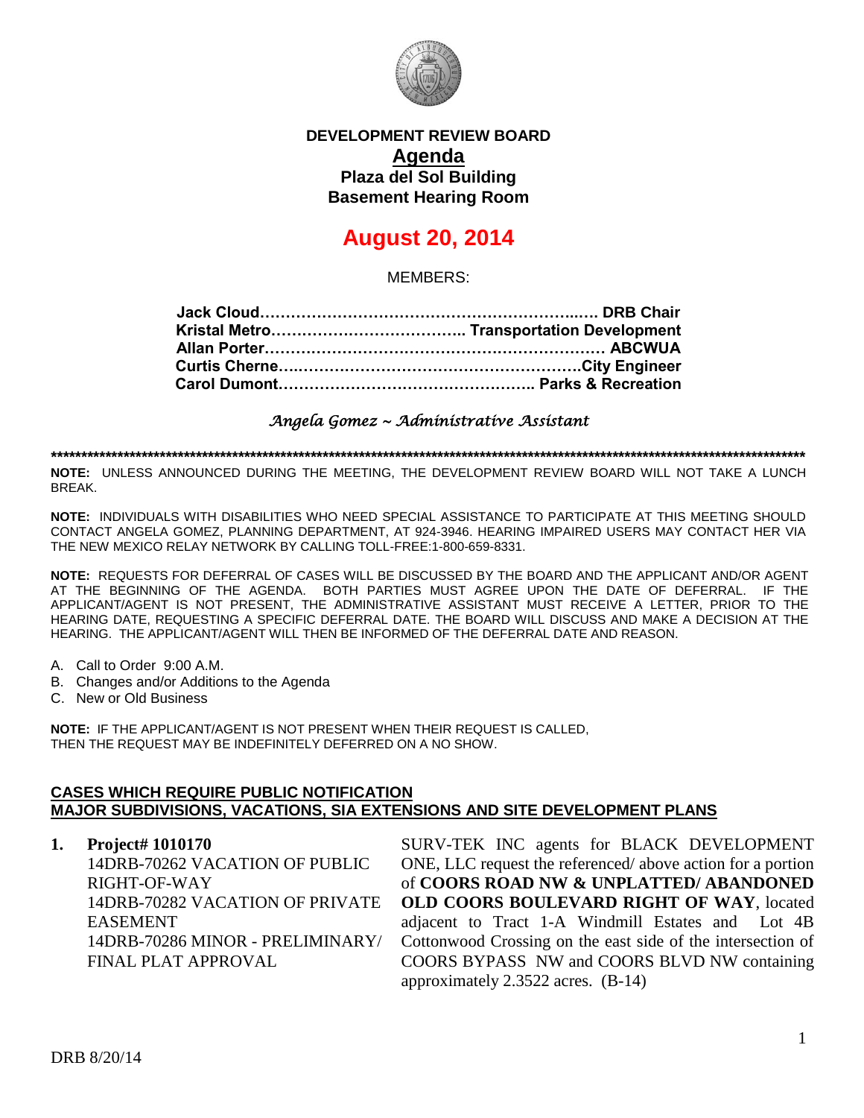

## **DEVELOPMENT REVIEW BOARD Agenda Plaza del Sol Building Basement Hearing Room**

# **August 20, 2014**

MEMBERS:

*Angela Gomez ~ Administrative Assistant* 

**\*\*\*\*\*\*\*\*\*\*\*\*\*\*\*\*\*\*\*\*\*\*\*\*\*\*\*\*\*\*\*\*\*\*\*\*\*\*\*\*\*\*\*\*\*\*\*\*\*\*\*\*\*\*\*\*\*\*\*\*\*\*\*\*\*\*\*\*\*\*\*\*\*\*\*\*\*\*\*\*\*\*\*\*\*\*\*\*\*\*\*\*\*\*\*\*\*\*\*\*\*\*\*\*\*\*\*\*\*\*\*\*\*\*\*\*\*\*\*\*\*\*\*\*\***

**NOTE:** UNLESS ANNOUNCED DURING THE MEETING, THE DEVELOPMENT REVIEW BOARD WILL NOT TAKE A LUNCH BREAK.

**NOTE:** INDIVIDUALS WITH DISABILITIES WHO NEED SPECIAL ASSISTANCE TO PARTICIPATE AT THIS MEETING SHOULD CONTACT ANGELA GOMEZ, PLANNING DEPARTMENT, AT 924-3946. HEARING IMPAIRED USERS MAY CONTACT HER VIA THE NEW MEXICO RELAY NETWORK BY CALLING TOLL-FREE:1-800-659-8331.

**NOTE:** REQUESTS FOR DEFERRAL OF CASES WILL BE DISCUSSED BY THE BOARD AND THE APPLICANT AND/OR AGENT AT THE BEGINNING OF THE AGENDA. BOTH PARTIES MUST AGREE UPON THE DATE OF DEFERRAL. IF THE APPLICANT/AGENT IS NOT PRESENT, THE ADMINISTRATIVE ASSISTANT MUST RECEIVE A LETTER, PRIOR TO THE HEARING DATE, REQUESTING A SPECIFIC DEFERRAL DATE. THE BOARD WILL DISCUSS AND MAKE A DECISION AT THE HEARING. THE APPLICANT/AGENT WILL THEN BE INFORMED OF THE DEFERRAL DATE AND REASON.

- A. Call to Order 9:00 A.M.
- B. Changes and/or Additions to the Agenda
- C. New or Old Business

**NOTE:** IF THE APPLICANT/AGENT IS NOT PRESENT WHEN THEIR REQUEST IS CALLED, THEN THE REQUEST MAY BE INDEFINITELY DEFERRED ON A NO SHOW.

#### **CASES WHICH REQUIRE PUBLIC NOTIFICATION MAJOR SUBDIVISIONS, VACATIONS, SIA EXTENSIONS AND SITE DEVELOPMENT PLANS**

**1. Project# 1010170**

14DRB-70262 VACATION OF PUBLIC RIGHT-OF-WAY 14DRB-70282 VACATION OF PRIVATE EASEMENT 14DRB-70286 MINOR - PRELIMINARY/ FINAL PLAT APPROVAL

SURV-TEK INC agents for BLACK DEVELOPMENT ONE, LLC request the referenced/ above action for a portion of **COORS ROAD NW & UNPLATTED/ ABANDONED OLD COORS BOULEVARD RIGHT OF WAY**, located adjacent to Tract 1-A Windmill Estates and Lot 4B Cottonwood Crossing on the east side of the intersection of COORS BYPASS NW and COORS BLVD NW containing approximately 2.3522 acres. (B-14)